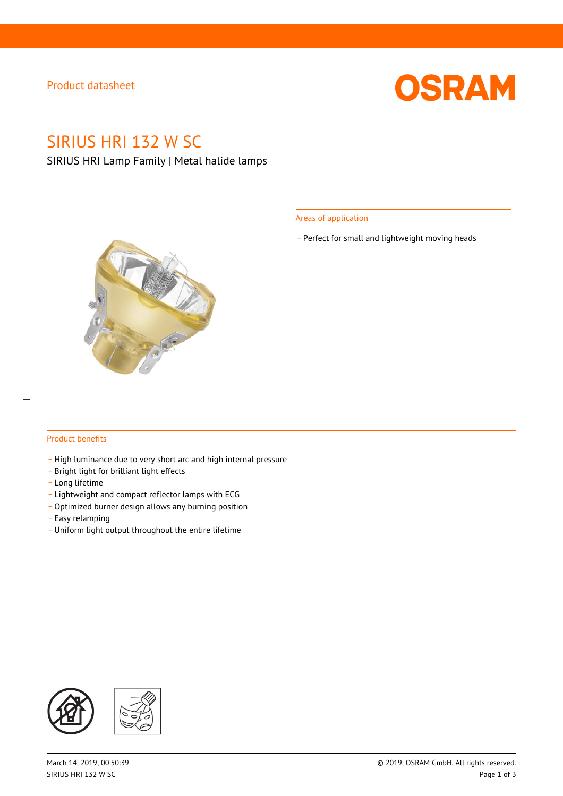## Product datasheet



# SIRIUS HRI 132 W SC

SIRIUS HRI Lamp Family | Metal halide lamps



Areas of application

\_ Perfect for small and lightweight moving heads

#### Product benefits

- High luminance due to very short arc and high internal pressure
- \_ Bright light for brilliant light effects
- \_ Long lifetime
- \_ Lightweight and compact reflector lamps with ECG
- Optimized burner design allows any burning position
- \_ Easy relamping
- \_ Uniform light output throughout the entire lifetime

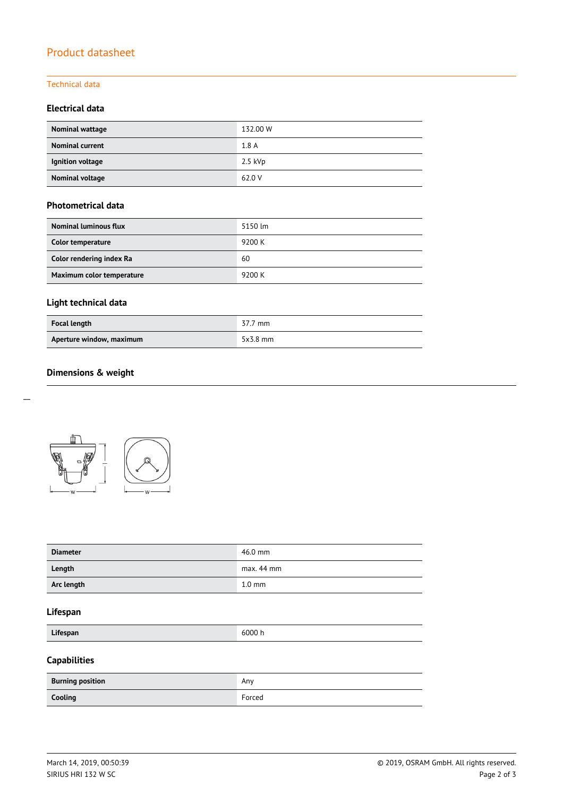# Product datasheet

#### Technical data

## **Electrical data**

| Nominal wattage        | 132.00 W  |
|------------------------|-----------|
| <b>Nominal current</b> | 1.8A      |
| Ignition voltage       | $2.5$ kVp |
| Nominal voltage        | 62.0 V    |

## **Photometrical data**

| <b>Nominal luminous flux</b> | 5150 lm |
|------------------------------|---------|
| Color temperature            | 9200 K  |
| Color rendering index Ra     | 60      |
| Maximum color temperature    | 9200 K  |

# **Light technical data**

| <b>Focal length</b>      | 37.7 mm    |
|--------------------------|------------|
| Aperture window, maximum | $5x3.8$ mm |

## **Dimensions & weight**



| <b>Diameter</b> | 46.0 mm          |
|-----------------|------------------|
| Length          | $max. 44$ mm     |
| Arc length      | $1.0 \text{ mm}$ |

### **Lifespan**

**Lifespan** 6000 h

# **Capabilities**

| <b>Burning position</b> | Any    |
|-------------------------|--------|
| Cooling                 | Forced |